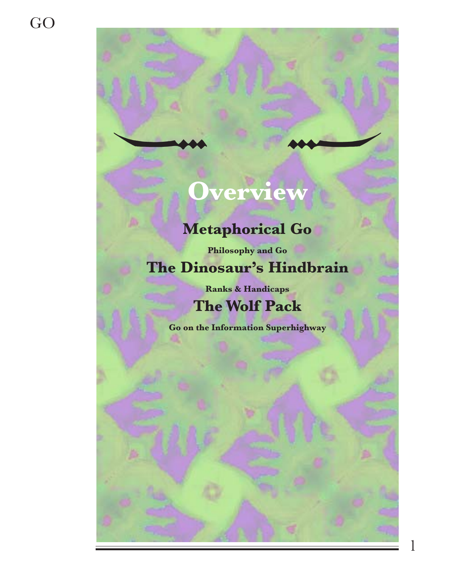## **Overview**

### Metaphorical Go

Philosophy and Go The Dinosaur's Hindbrain

Ranks & Handicaps

### The Wolf Pack

Go on the Information Superhighway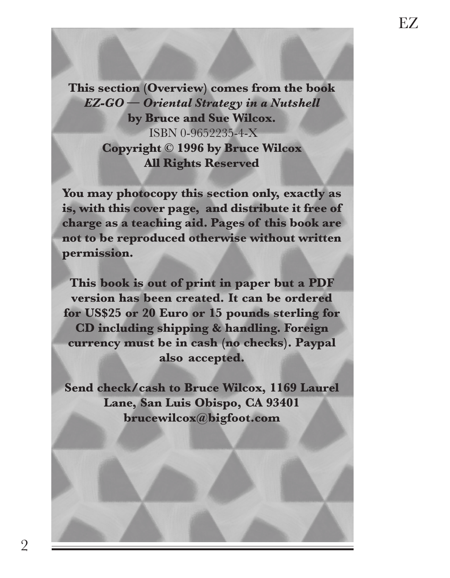This section (Overview) comes from the book  $EZ-GO$  — Oriental Strategy in a Nutshell by Bruce and Sue Wilcox. ISBN 0-9652235-4-X Copyright © 1996 by Bruce Wilcox All Rights Reserved

EZ

You may photocopy this section only, exactly as is, with this cover page, and distribute it free of charge as a teaching aid. Pages of this book are not to be reproduced otherwise without written permission.

This book is out of print in paper but a PDF version has been created. It can be ordered for US\$25 or 20 Euro or 15 pounds sterling for CD including shipping & handling. Foreign currency must be in cash (no checks). Paypal also accepted.

Send check/cash to Bruce Wilcox, 1169 Laurel Lane, San Luis Obispo, CA 93401 brucewilcox@bigfoot.com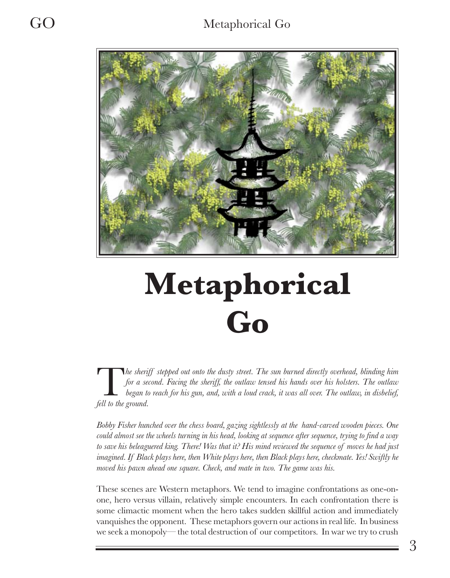### GO Metaphorical Go



# Metaphorical Go

The sheriff stepped out onto the dusty street. The sun burned directly overhead, blinding him<br>for a second. Facing the sheriff, the outlaw tensed his hands over his holsters. The outlaw<br>began to reach for his gun, and, wit for a second. Facing the sheriff, the outlaw tensed his hands over his holsters. The outlaw began to reach for his gun, and, with a loud crack, it was all over. The outlaw, in disbelief, fell to the ground.

Bobby Fisher hunched over the chess board, gazing sightlessly at the hand-carved wooden pieces. One could almost see the wheels turning in his head, looking at sequence after sequence, trying to find a way to save his beleaguered king. There! Was that it? His mind reviewed the sequence of moves he had just imagined. If Black plays here, then White plays here, then Black plays here, checkmate. Yes! Swiftly he moved his pawn ahead one square. Check, and mate in two. The game was his.

These scenes are Western metaphors. We tend to imagine confrontations as one-onone, hero versus villain, relatively simple encounters. In each confrontation there is some climactic moment when the hero takes sudden skillful action and immediately vanquishes the opponent. These metaphors govern our actions in real life. In business we seek a monopoly— the total destruction of our competitors. In war we try to crush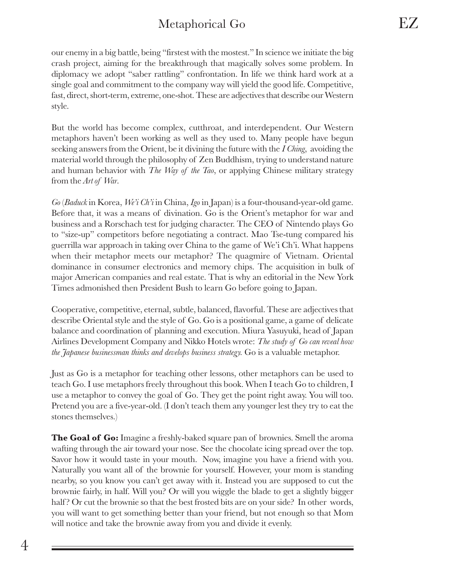#### Metaphorical Go **EZ**

our enemy in a big battle, being "firstest with the mostest." In science we initiate the big crash project, aiming for the breakthrough that magically solves some problem. In diplomacy we adopt "saber rattling" confrontation. In life we think hard work at a single goal and commitment to the company way will yield the good life. Competitive, fast, direct, short-term, extreme, one-shot. These are adjectives that describe our Western style.

But the world has become complex, cutthroat, and interdependent. Our Western metaphors haven't been working as well as they used to. Many people have begun seeking answers from the Orient, be it divining the future with the I Ching, avoiding the material world through the philosophy of Zen Buddhism, trying to understand nature and human behavior with The Way of the Tao, or applying Chinese military strategy from the Art of War.

 $Go (Baduck in Korea, We'i Ch'iin China, Igo in Japan)$  is a four-thousand-year-old game. Before that, it was a means of divination. Go is the Orient's metaphor for war and business and a Rorschach test for judging character. The CEO of Nintendo plays Go to "size-up" competitors before negotiating a contract. Mao Tse-tung compared his guerrilla war approach in taking over China to the game of We'i Ch'i. What happens when their metaphor meets our metaphor? The quagmire of Vietnam. Oriental dominance in consumer electronics and memory chips. The acquisition in bulk of major American companies and real estate. That is why an editorial in the New York Times admonished then President Bush to learn Go before going to Japan.

Cooperative, competitive, eternal, subtle, balanced, flavorful. These are adjectives that describe Oriental style and the style of Go. Go is a positional game, a game of delicate balance and coordination of planning and execution. Miura Yasuyuki, head of Japan Airlines Development Company and Nikko Hotels wrote: The study of Go can reveal how the Japanese businessman thinks and develops business strategy. Go is a valuable metaphor.

Just as Go is a metaphor for teaching other lessons, other metaphors can be used to teach Go. I use metaphors freely throughout this book. When I teach Go to children, I use a metaphor to convey the goal of Go. They get the point right away. You will too. Pretend you are a five-year-old. (I don't teach them any younger lest they try to eat the stones themselves.)

**The Goal of Go:** Imagine a freshly-baked square pan of brownies. Smell the aroma wafting through the air toward your nose. See the chocolate icing spread over the top. Savor how it would taste in your mouth. Now, imagine you have a friend with you. Naturally you want all of the brownie for yourself. However, your mom is standing nearby, so you know you can't get away with it. Instead you are supposed to cut the brownie fairly, in half. Will you? Or will you wiggle the blade to get a slightly bigger half? Or cut the brownie so that the best frosted bits are on your side? In other words, you will want to get something better than your friend, but not enough so that Mom will notice and take the brownie away from you and divide it evenly.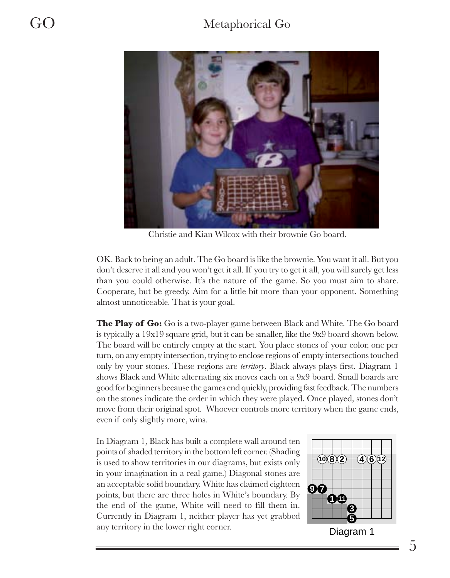#### GO Metaphorical Go



Christie and Kian Wilcox with their brownie Go board.

OK. Back to being an adult. The Go board is like the brownie. You want it all. But you don't deserve it all and you won't get it all. If you try to get it all, you will surely get less than you could otherwise. It's the nature of the game. So you must aim to share. Cooperate, but be greedy. Aim for a little bit more than your opponent. Something almost unnoticeable. That is your goal.

**The Play of Go:** Go is a two-player game between Black and White. The Go board is typically a 19x19 square grid, but it can be smaller, like the 9x9 board shown below. The board will be entirely empty at the start. You place stones of your color, one per turn, on any empty intersection, trying to enclose regions of empty intersections touched only by your stones. These regions are territory. Black always plays first. Diagram 1 shows Black and White alternating six moves each on a 9x9 board. Small boards are good for beginners because the games end quickly, providing fast feedback. The numbers on the stones indicate the order in which they were played. Once played, stones don't move from their original spot. Whoever controls more territory when the game ends, even if only slightly more, wins.

In Diagram 1, Black has built a complete wall around ten points of shaded territory in the bottom left corner. (Shading is used to show territories in our diagrams, but exists only in your imagination in a real game.) Diagonal stones are an acceptable solid boundary. White has claimed eighteen points, but there are three holes in White's boundary. By the end of the game, White will need to fill them in. Currently in Diagram 1, neither player has yet grabbed any territory in the lower right corner.



Diagram 1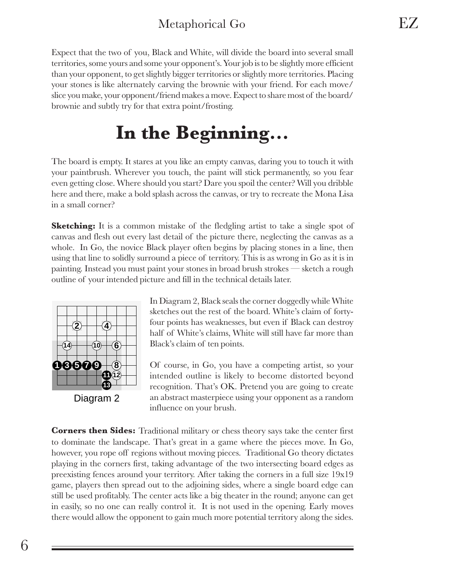#### Metaphorical Go **EZ**

Expect that the two of you, Black and White, will divide the board into several small territories, some yours and some your opponent's. Your job is to be slightly more efficient than your opponent, to get slightly bigger territories or slightly more territories. Placing your stones is like alternately carving the brownie with your friend. For each move/ slice you make, your opponent/friend makes a move. Expect to share most of the board/ brownie and subtly try for that extra point/frosting.

## In the Beginning…

The board is empty. It stares at you like an empty canvas, daring you to touch it with your paintbrush. Wherever you touch, the paint will stick permanently, so you fear even getting close. Where should you start? Dare you spoil the center? Will you dribble here and there, make a bold splash across the canvas, or try to recreate the Mona Lisa in a small corner?

**Sketching:** It is a common mistake of the fledgling artist to take a single spot of canvas and flesh out every last detail of the picture there, neglecting the canvas as a whole. In Go, the novice Black player often begins by placing stones in a line, then using that line to solidly surround a piece of territory. This is as wrong in Go as it is in painting. Instead you must paint your stones in broad brush strokes — sketch a rough outline of your intended picture and fill in the technical details later.



Diagram 2

In Diagram 2, Black seals the corner doggedly while White sketches out the rest of the board. White's claim of fortyfour points has weaknesses, but even if Black can destroy half of White's claims, White will still have far more than Black's claim of ten points.

Of course, in Go, you have a competing artist, so your intended outline is likely to become distorted beyond recognition. That's OK. Pretend you are going to create an abstract masterpiece using your opponent as a random influence on your brush.

**Corners then Sides:** Traditional military or chess theory says take the center first to dominate the landscape. That's great in a game where the pieces move. In Go, however, you rope off regions without moving pieces. Traditional Go theory dictates playing in the corners first, taking advantage of the two intersecting board edges as preexisting fences around your territory. After taking the corners in a full size 19x19 game, players then spread out to the adjoining sides, where a single board edge can still be used profitably. The center acts like a big theater in the round; anyone can get in easily, so no one can really control it. It is not used in the opening. Early moves there would allow the opponent to gain much more potential territory along the sides.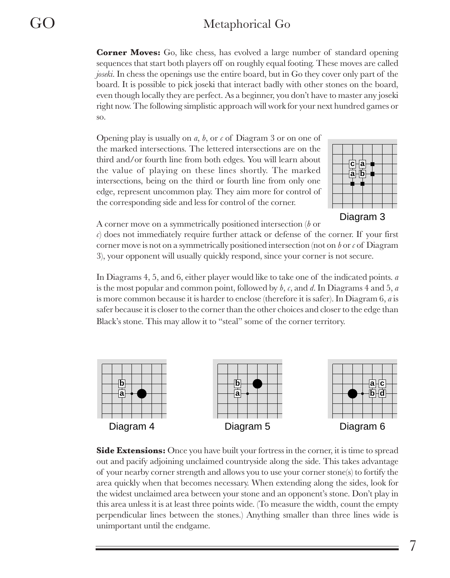#### GO Metaphorical Go

**Corner Moves:** Go, like chess, has evolved a large number of standard opening sequences that start both players off on roughly equal footing. These moves are called joseki. In chess the openings use the entire board, but in Go they cover only part of the board. It is possible to pick joseki that interact badly with other stones on the board, even though locally they are perfect. As a beginner, you don't have to master any joseki right now. The following simplistic approach will work for your next hundred games or so.

Opening play is usually on  $a, b$ , or  $c$  of Diagram 3 or on one of the marked intersections. The lettered intersections are on the third and/or fourth line from both edges. You will learn about the value of playing on these lines shortly. The marked intersections, being on the third or fourth line from only one edge, represent uncommon play. They aim more for control of the corresponding side and less for control of the corner.



Diagram 3

A corner move on a symmetrically positioned intersection (b or

c) does not immediately require further attack or defense of the corner. If your first corner move is not on a symmetrically positioned intersection (not on  $b$  or  $c$  of Diagram 3), your opponent will usually quickly respond, since your corner is not secure.

In Diagrams 4, 5, and 6, either player would like to take one of the indicated points. a is the most popular and common point, followed by  $b, c$ , and  $d$ . In Diagrams 4 and 5,  $a$ is more common because it is harder to enclose (therefore it is safer). In Diagram 6, a is safer because it is closer to the corner than the other choices and closer to the edge than Black's stone. This may allow it to "steal" some of the corner territory.



**Side Extensions:** Once you have built your fortress in the corner, it is time to spread out and pacify adjoining unclaimed countryside along the side. This takes advantage of your nearby corner strength and allows you to use your corner stone(s) to fortify the area quickly when that becomes necessary. When extending along the sides, look for the widest unclaimed area between your stone and an opponent's stone. Don't play in this area unless it is at least three points wide. (To measure the width, count the empty perpendicular lines between the stones.) Anything smaller than three lines wide is unimportant until the endgame.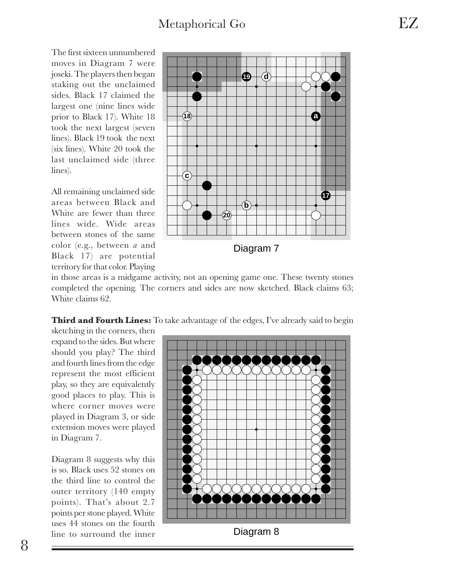### Metaphorical Go **EZ**

The first sixteen unnumbered moves in Diagram 7 were joseki. The players then began staking out the unclaimed sides. Black 17 claimed the largest one (nine lines wide prior to Black 17). White 18 took the next largest (seven lines). Black 19 took the next (six lines). White 20 took the last unclaimed side (three lines).

All remaining unclaimed side areas between Black and White are fewer than three lines wide. Wide areas between stones of the same color (e.g., between a and Black 17) are potential territory for that color. Playing



in those areas is a midgame activity, not an opening game one. These twenty stones completed the opening. The corners and sides are now sketched. Black claims 63; White claims 62.

Third and Fourth Lines: To take advantage of the edges, I've already said to begin

sketching in the corners, then expand to the sides. But where should you play? The third and fourth lines from the edge represent the most efficient play, so they are equivalently good places to play. This is where corner moves were played in Diagram 3, or side extension moves were played in Diagram 7.

Diagram 8 suggests why this is so. Black uses 52 stones on the third line to control the outer territory (140 empty points). That's about 2.7 points per stone played. White uses 44 stones on the fourth line to surround the inner

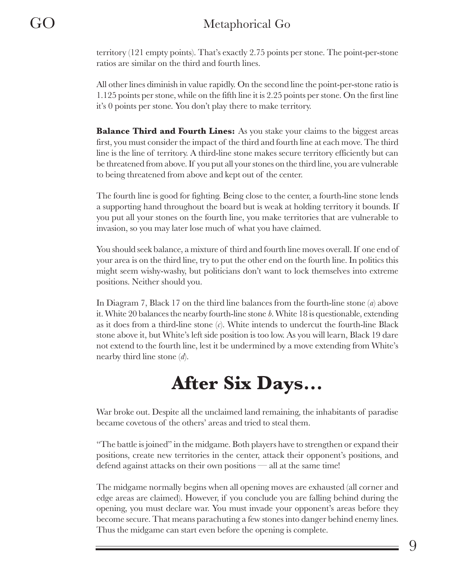#### GO Metaphorical Go

territory (121 empty points). That's exactly 2.75 points per stone. The point-per-stone ratios are similar on the third and fourth lines.

All other lines diminish in value rapidly. On the second line the point-per-stone ratio is 1.125 points per stone, while on the fifth line it is 2.25 points per stone. On the first line it's 0 points per stone. You don't play there to make territory.

**Balance Third and Fourth Lines:** As you stake your claims to the biggest areas first, you must consider the impact of the third and fourth line at each move. The third line is the line of territory. A third-line stone makes secure territory efficiently but can be threatened from above. If you put all your stones on the third line, you are vulnerable to being threatened from above and kept out of the center.

The fourth line is good for fighting. Being close to the center, a fourth-line stone lends a supporting hand throughout the board but is weak at holding territory it bounds. If you put all your stones on the fourth line, you make territories that are vulnerable to invasion, so you may later lose much of what you have claimed.

You should seek balance, a mixture of third and fourth line moves overall. If one end of your area is on the third line, try to put the other end on the fourth line. In politics this might seem wishy-washy, but politicians don't want to lock themselves into extreme positions. Neither should you.

In Diagram 7, Black 17 on the third line balances from the fourth-line stone (a) above it. White 20 balances the nearby fourth-line stone b. White 18 is questionable, extending as it does from a third-line stone  $(c)$ . White intends to undercut the fourth-line Black stone above it, but White's left side position is too low. As you will learn, Black 19 dare not extend to the fourth line, lest it be undermined by a move extending from White's nearby third line stone  $(d)$ .

### After Six Days…

War broke out. Despite all the unclaimed land remaining, the inhabitants of paradise became covetous of the others' areas and tried to steal them.

"The battle is joined" in the midgame. Both players have to strengthen or expand their positions, create new territories in the center, attack their opponent's positions, and defend against attacks on their own positions — all at the same time!

The midgame normally begins when all opening moves are exhausted (all corner and edge areas are claimed). However, if you conclude you are falling behind during the opening, you must declare war. You must invade your opponent's areas before they become secure. That means parachuting a few stones into danger behind enemy lines. Thus the midgame can start even before the opening is complete.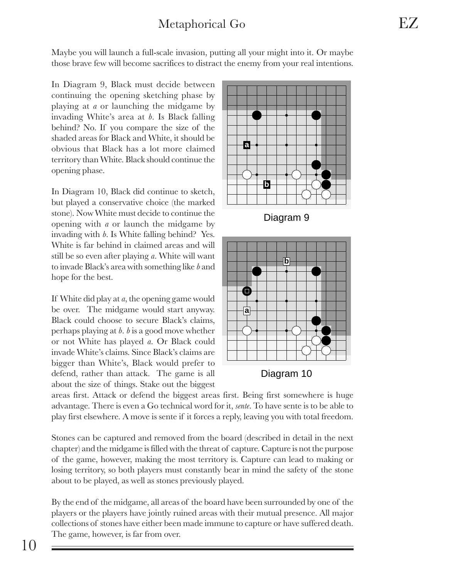### Metaphorical Go **EZ**

Maybe you will launch a full-scale invasion, putting all your might into it. Or maybe those brave few will become sacrifices to distract the enemy from your real intentions.

In Diagram 9, Black must decide between continuing the opening sketching phase by playing at a or launching the midgame by invading White's area at  $b$ . Is Black falling behind? No. If you compare the size of the shaded areas for Black and White, it should be obvious that Black has a lot more claimed territory than White. Black should continue the opening phase.

In Diagram 10, Black did continue to sketch, but played a conservative choice (the marked stone). Now White must decide to continue the opening with a or launch the midgame by invading with b. Is White falling behind? Yes. White is far behind in claimed areas and will still be so even after playing a. White will want to invade Black's area with something like  $b$  and hope for the best.

If White did play at a, the opening game would be over. The midgame would start anyway. Black could choose to secure Black's claims, perhaps playing at  $b$ .  $b$  is a good move whether or not White has played a. Or Black could invade White's claims. Since Black's claims are bigger than White's, Black would prefer to defend, rather than attack. The game is all about the size of things. Stake out the biggest



areas first. Attack or defend the biggest areas first. Being first somewhere is huge advantage. There is even a Go technical word for it, sente. To have sente is to be able to play first elsewhere. A move is sente if it forces a reply, leaving you with total freedom.

Stones can be captured and removed from the board (described in detail in the next chapter) and the midgame is filled with the threat of capture. Capture is not the purpose of the game, however, making the most territory is. Capture can lead to making or losing territory, so both players must constantly bear in mind the safety of the stone about to be played, as well as stones previously played.

By the end of the midgame, all areas of the board have been surrounded by one of the players or the players have jointly ruined areas with their mutual presence. All major collections of stones have either been made immune to capture or have suffered death. The game, however, is far from over.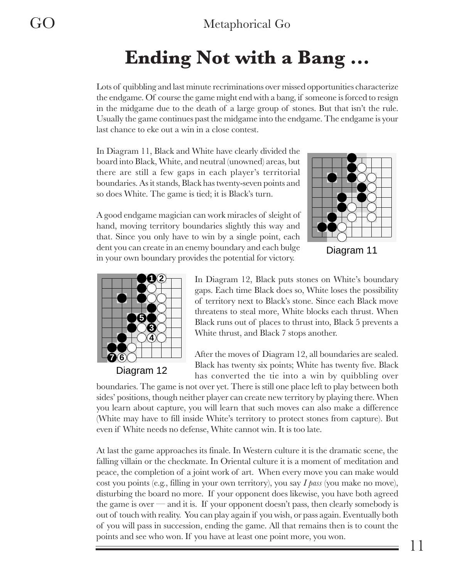## Ending Not with a Bang ...

Lots of quibbling and last minute recriminations over missed opportunities characterize the endgame. Of course the game might end with a bang, if someone is forced to resign in the midgame due to the death of a large group of stones. But that isn't the rule. Usually the game continues past the midgame into the endgame. The endgame is your last chance to eke out a win in a close contest.

In Diagram 11, Black and White have clearly divided the board into Black, White, and neutral (unowned) areas, but there are still a few gaps in each player's territorial boundaries. As it stands, Black has twenty-seven points and so does White. The game is tied; it is Black's turn.

A good endgame magician can work miracles of sleight of hand, moving territory boundaries slightly this way and that. Since you only have to win by a single point, each dent you can create in an enemy boundary and each bulge in your own boundary provides the potential for victory.



Diagram 11



Diagram 12

In Diagram 12, Black puts stones on White's boundary gaps. Each time Black does so, White loses the possibility of territory next to Black's stone. Since each Black move threatens to steal more, White blocks each thrust. When Black runs out of places to thrust into, Black 5 prevents a White thrust, and Black 7 stops another.

After the moves of Diagram 12, all boundaries are sealed. Black has twenty six points; White has twenty five. Black has converted the tie into a win by quibbling over

boundaries. The game is not over yet. There is still one place left to play between both sides' positions, though neither player can create new territory by playing there. When you learn about capture, you will learn that such moves can also make a difference (White may have to fill inside White's territory to protect stones from capture). But even if White needs no defense, White cannot win. It is too late.

At last the game approaches its finale. In Western culture it is the dramatic scene, the falling villain or the checkmate. In Oriental culture it is a moment of meditation and peace, the completion of a joint work of art. When every move you can make would cost you points (e.g., filling in your own territory), you say  $I$  pass (you make no move), disturbing the board no more. If your opponent does likewise, you have both agreed the game is over — and it is. If your opponent doesn't pass, then clearly somebody is out of touch with reality. You can play again if you wish, or pass again. Eventually both of you will pass in succession, ending the game. All that remains then is to count the points and see who won. If you have at least one point more, you won.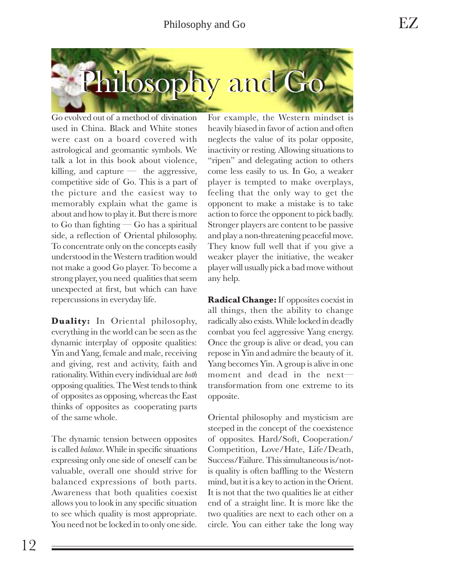

Go evolved out of a method of divination used in China. Black and White stones were cast on a board covered with astrological and geomantic symbols. We talk a lot in this book about violence,  $killing$ , and capture  $-$  the aggressive, competitive side of Go. This is a part of the picture and the easiest way to memorably explain what the game is about and how to play it. But there is more to Go than fighting — Go has a spiritual side, a reflection of Oriental philosophy. To concentrate only on the concepts easily understood in the Western tradition would not make a good Go player. To become a strong player, you need qualities that seem unexpected at first, but which can have repercussions in everyday life.

Duality: In Oriental philosophy, everything in the world can be seen as the dynamic interplay of opposite qualities: Yin and Yang, female and male, receiving and giving, rest and activity, faith and rationality. Within every individual are both opposing qualities. The West tends to think of opposites as opposing, whereas the East thinks of opposites as cooperating parts of the same whole.

The dynamic tension between opposites is called balance. While in specific situations expressing only one side of oneself can be valuable, overall one should strive for balanced expressions of both parts. Awareness that both qualities coexist allows you to look in any specific situation to see which quality is most appropriate. You need not be locked in to only one side.

For example, the Western mindset is heavily biased in favor of action and often neglects the value of its polar opposite, inactivity or resting. Allowing situations to "ripen" and delegating action to others come less easily to us. In Go, a weaker player is tempted to make overplays, feeling that the only way to get the opponent to make a mistake is to take action to force the opponent to pick badly. Stronger players are content to be passive and play a non-threatening peaceful move. They know full well that if you give a weaker player the initiative, the weaker player will usually pick a bad move without any help.

Radical Change: If opposites coexist in all things, then the ability to change radically also exists. While locked in deadly combat you feel aggressive Yang energy. Once the group is alive or dead, you can repose in Yin and admire the beauty of it. Yang becomes Yin. A group is alive in one moment and dead in the next transformation from one extreme to its opposite.

Oriental philosophy and mysticism are steeped in the concept of the coexistence of opposites. Hard/Soft, Cooperation/ Competition, Love/Hate, Life/Death, Success/Failure. This simultaneous is/notis quality is often baffling to the Western mind, but it is a key to action in the Orient. It is not that the two qualities lie at either end of a straight line. It is more like the two qualities are next to each other on a circle. You can either take the long way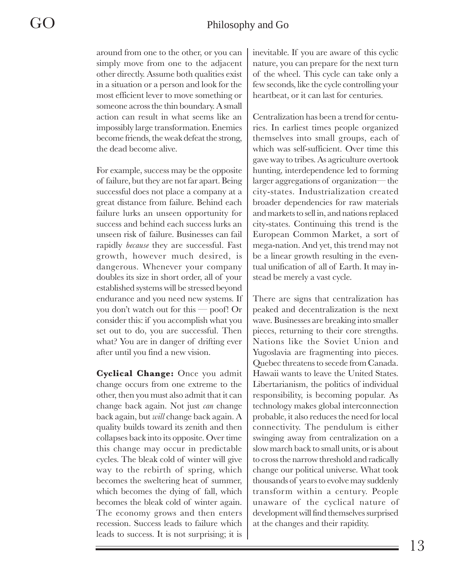#### GO Philosophy and Go

around from one to the other, or you can simply move from one to the adjacent other directly. Assume both qualities exist in a situation or a person and look for the most efficient lever to move something or someone across the thin boundary. A small action can result in what seems like an impossibly large transformation. Enemies become friends, the weak defeat the strong, the dead become alive.

For example, success may be the opposite of failure, but they are not far apart. Being successful does not place a company at a great distance from failure. Behind each failure lurks an unseen opportunity for success and behind each success lurks an unseen risk of failure. Businesses can fail rapidly because they are successful. Fast growth, however much desired, is dangerous. Whenever your company doubles its size in short order, all of your established systems will be stressed beyond endurance and you need new systems. If you don't watch out for this — poof! Or consider this: if you accomplish what you set out to do, you are successful. Then what? You are in danger of drifting ever after until you find a new vision.

Cyclical Change: Once you admit change occurs from one extreme to the other, then you must also admit that it can change back again. Not just can change back again, but will change back again. A quality builds toward its zenith and then collapses back into its opposite. Over time this change may occur in predictable cycles. The bleak cold of winter will give way to the rebirth of spring, which becomes the sweltering heat of summer, which becomes the dying of fall, which becomes the bleak cold of winter again. The economy grows and then enters recession. Success leads to failure which leads to success. It is not surprising; it is inevitable. If you are aware of this cyclic nature, you can prepare for the next turn of the wheel. This cycle can take only a few seconds, like the cycle controlling your heartbeat, or it can last for centuries.

Centralization has been a trend for centuries. In earliest times people organized themselves into small groups, each of which was self-sufficient. Over time this gave way to tribes. As agriculture overtook hunting, interdependence led to forming larger aggregations of organization— the city-states. Industrialization created broader dependencies for raw materials and markets to sell in, and nations replaced city-states. Continuing this trend is the European Common Market, a sort of mega-nation. And yet, this trend may not be a linear growth resulting in the eventual unification of all of Earth. It may instead be merely a vast cycle.

There are signs that centralization has peaked and decentralization is the next wave. Businesses are breaking into smaller pieces, returning to their core strengths. Nations like the Soviet Union and Yugoslavia are fragmenting into pieces. Quebec threatens to secede from Canada. Hawaii wants to leave the United States. Libertarianism, the politics of individual responsibility, is becoming popular. As technology makes global interconnection probable, it also reduces the need for local connectivity. The pendulum is either swinging away from centralization on a slow march back to small units, or is about to cross the narrow threshold and radically change our political universe. What took thousands of years to evolve may suddenly transform within a century. People unaware of the cyclical nature of development will find themselves surprised at the changes and their rapidity.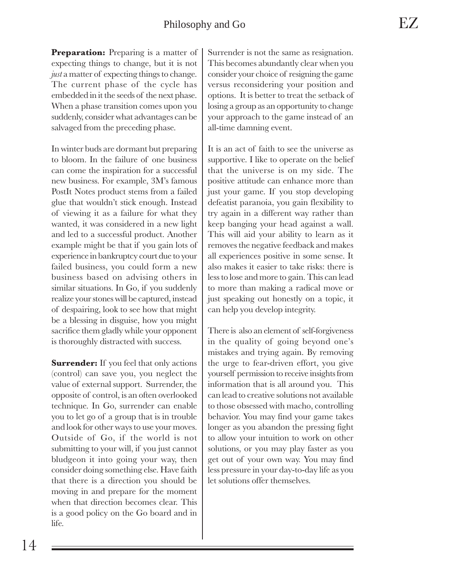**Preparation:** Preparing is a matter of expecting things to change, but it is not just a matter of expecting things to change. The current phase of the cycle has embedded in it the seeds of the next phase. When a phase transition comes upon you suddenly, consider what advantages can be salvaged from the preceding phase.

In winter buds are dormant but preparing to bloom. In the failure of one business can come the inspiration for a successful new business. For example, 3M's famous PostIt Notes product stems from a failed glue that wouldn't stick enough. Instead of viewing it as a failure for what they wanted, it was considered in a new light and led to a successful product. Another example might be that if you gain lots of experience in bankruptcy court due to your failed business, you could form a new business based on advising others in similar situations. In Go, if you suddenly realize your stones will be captured, instead of despairing, look to see how that might be a blessing in disguise, how you might sacrifice them gladly while your opponent is thoroughly distracted with success.

**Surrender:** If you feel that only actions (control) can save you, you neglect the value of external support. Surrender, the opposite of control, is an often overlooked technique. In Go, surrender can enable you to let go of a group that is in trouble and look for other ways to use your moves. Outside of Go, if the world is not submitting to your will, if you just cannot bludgeon it into going your way, then consider doing something else. Have faith that there is a direction you should be moving in and prepare for the moment when that direction becomes clear. This is a good policy on the Go board and in life.

Surrender is not the same as resignation. This becomes abundantly clear when you consider your choice of resigning the game versus reconsidering your position and options. It is better to treat the setback of losing a group as an opportunity to change your approach to the game instead of an all-time damning event.

It is an act of faith to see the universe as supportive. I like to operate on the belief that the universe is on my side. The positive attitude can enhance more than just your game. If you stop developing defeatist paranoia, you gain flexibility to try again in a different way rather than keep banging your head against a wall. This will aid your ability to learn as it removes the negative feedback and makes all experiences positive in some sense. It also makes it easier to take risks: there is less to lose and more to gain. This can lead to more than making a radical move or just speaking out honestly on a topic, it can help you develop integrity.

There is also an element of self-forgiveness in the quality of going beyond one's mistakes and trying again. By removing the urge to fear-driven effort, you give yourself permission to receive insights from information that is all around you. This can lead to creative solutions not available to those obsessed with macho, controlling behavior. You may find your game takes longer as you abandon the pressing fight to allow your intuition to work on other solutions, or you may play faster as you get out of your own way. You may find less pressure in your day-to-day life as you let solutions offer themselves.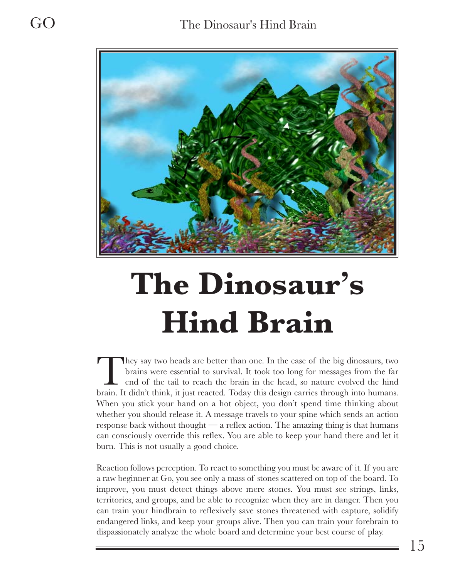

# The Dinosaur*'*s Hind Brain

They say two heads are better than one. In the case of the big dinosaurs, two brains were essential to survival. It took too long for messages from the far end of the tail to reach the brain in the head, so nature evolved brains were essential to survival. It took too long for messages from the far end of the tail to reach the brain in the head, so nature evolved the hind brain. It didn't think, it just reacted. Today this design carries through into humans. When you stick your hand on a hot object, you don't spend time thinking about whether you should release it. A message travels to your spine which sends an action response back without thought — a reflex action. The amazing thing is that humans can consciously override this reflex. You are able to keep your hand there and let it burn. This is not usually a good choice.

Reaction follows perception. To react to something you must be aware of it. If you are a raw beginner at Go, you see only a mass of stones scattered on top of the board. To improve, you must detect things above mere stones. You must see strings, links, territories, and groups, and be able to recognize when they are in danger. Then you can train your hindbrain to reflexively save stones threatened with capture, solidify endangered links, and keep your groups alive. Then you can train your forebrain to dispassionately analyze the whole board and determine your best course of play.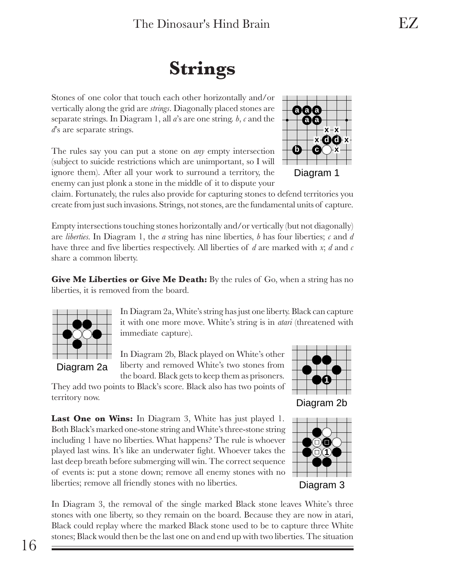## Strings

Stones of one color that touch each other horizontally and/or vertically along the grid are strings. Diagonally placed stones are separate strings. In Diagram 1, all  $a$ 's are one string.  $b$ ,  $c$  and the  $d$ 's are separate strings.

The rules say you can put a stone on *any* empty intersection (subject to suicide restrictions which are unimportant, so I will ignore them). After all your work to surround a territory, the enemy can just plonk a stone in the middle of it to dispute your



claim. Fortunately, the rules also provide for capturing stones to defend territories you create from just such invasions. Strings, not stones, are the fundamental units of capture.

Empty intersections touching stones horizontally and/or vertically (but not diagonally) are *liberties*. In Diagram 1, the *a* string has nine liberties, *b* has four liberties; *c* and *d* have three and five liberties respectively. All liberties of d are marked with  $x$ ; d and c share a common liberty.

Give Me Liberties or Give Me Death: By the rules of Go, when a string has no liberties, it is removed from the board.



Diagram 2a

In Diagram 2a, White's string has just one liberty. Black can capture it with one more move. White's string is in atari (threatened with immediate capture).

In Diagram 2b, Black played on White's other liberty and removed White's two stones from the board. Black gets to keep them as prisoners.

They add two points to Black's score. Black also has two points of territory now.

Last One on Wins: In Diagram 3, White has just played 1. Both Black's marked one-stone string and White's three-stone string including 1 have no liberties. What happens? The rule is whoever played last wins. It's like an underwater fight. Whoever takes the last deep breath before submerging will win. The correct sequence of events is: put a stone down; remove all enemy stones with no liberties; remove all friendly stones with no liberties.



Diagram 2b



In Diagram 3, the removal of the single marked Black stone leaves White's three stones with one liberty, so they remain on the board. Because they are now in atari, Black could replay where the marked Black stone used to be to capture three White stones; Black would then be the last one on and end up with two liberties. The situation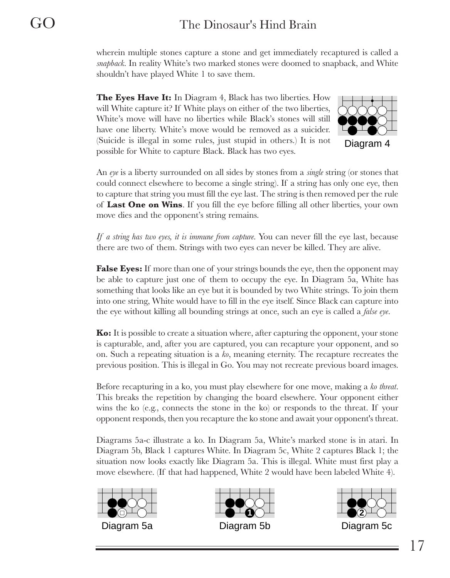wherein multiple stones capture a stone and get immediately recaptured is called a snapback. In reality White's two marked stones were doomed to snapback, and White shouldn't have played White 1 to save them.

**The Eyes Have It:** In Diagram 4, Black has two liberties. How will White capture it? If White plays on either of the two liberties, White's move will have no liberties while Black's stones will still have one liberty. White's move would be removed as a suicider. (Suicide is illegal in some rules, just stupid in others.) It is not possible for White to capture Black. Black has two eyes.



Diagram 4

An eye is a liberty surrounded on all sides by stones from a *single* string (or stones that could connect elsewhere to become a single string). If a string has only one eye, then to capture that string you must fill the eye last. The string is then removed per the rule of Last One on Wins. If you fill the eye before filling all other liberties, your own move dies and the opponent's string remains.

If a string has two eyes, it is immune from capture. You can never fill the eye last, because there are two of them. Strings with two eyes can never be killed. They are alive.

**False Eyes:** If more than one of your strings bounds the eye, then the opponent may be able to capture just one of them to occupy the eye. In Diagram 5a, White has something that looks like an eye but it is bounded by two White strings. To join them into one string, White would have to fill in the eye itself. Since Black can capture into the eye without killing all bounding strings at once, such an eye is called a *false eye*.

Ko: It is possible to create a situation where, after capturing the opponent, your stone is capturable, and, after you are captured, you can recapture your opponent, and so on. Such a repeating situation is a ko, meaning eternity. The recapture recreates the previous position. This is illegal in Go. You may not recreate previous board images.

Before recapturing in a ko, you must play elsewhere for one move, making a ko threat. This breaks the repetition by changing the board elsewhere. Your opponent either wins the ko (e.g., connects the stone in the ko) or responds to the threat. If your opponent responds, then you recapture the ko stone and await your opponent's threat.

Diagrams 5a-c illustrate a ko. In Diagram 5a, White's marked stone is in atari. In Diagram 5b, Black 1 captures White. In Diagram 5c, White 2 captures Black 1; the situation now looks exactly like Diagram 5a. This is illegal. White must first play a move elsewhere. (If that had happened, White 2 would have been labeled White 4).





Diagram 5b Diagram 5a Diagram 5c

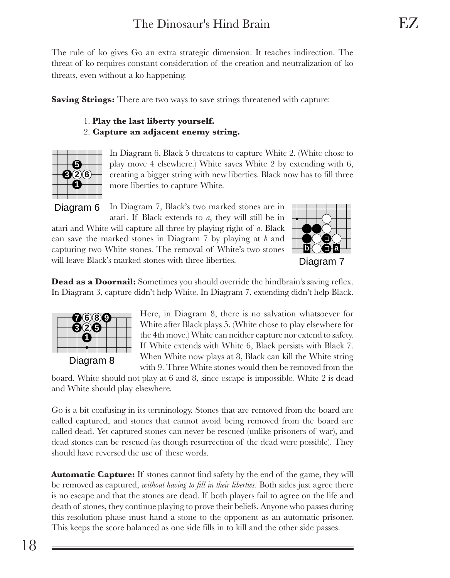The rule of ko gives Go an extra strategic dimension. It teaches indirection. The threat of ko requires constant consideration of the creation and neutralization of ko threats, even without a ko happening.

**Saving Strings:** There are two ways to save strings threatened with capture:

1. Play the last liberty yourself.

2. Capture an adjacent enemy string.



In Diagram 6, Black 5 threatens to capture White 2. (White chose to play move 4 elsewhere.) White saves White 2 by extending with 6, creating a bigger string with new liberties. Black now has to fill three more liberties to capture White.

Diagram 6

In Diagram 7, Black's two marked stones are in atari. If Black extends to a, they will still be in atari and White will capture all three by playing right of a. Black can save the marked stones in Diagram  $7$  by playing at  $\bar{b}$  and capturing two White stones. The removal of White's two stones will leave Black's marked stones with three liberties.



**Dead as a Doornail:** Sometimes you should override the hindbrain's saving reflex. In Diagram 3, capture didn't help White. In Diagram 7, extending didn't help Black.



Here, in Diagram 8, there is no salvation whatsoever for White after Black plays 5. (White chose to play elsewhere for the 4th move.) White can neither capture nor extend to safety. If White extends with White 6, Black persists with Black 7. When White now plays at 8, Black can kill the White string with 9. Three White stones would then be removed from the

board. White should not play at 6 and 8, since escape is impossible. White 2 is dead and White should play elsewhere.

Go is a bit confusing in its terminology. Stones that are removed from the board are called captured, and stones that cannot avoid being removed from the board are called dead. Yet captured stones can never be rescued (unlike prisoners of war), and dead stones can be rescued (as though resurrection of the dead were possible). They should have reversed the use of these words.

Automatic Capture: If stones cannot find safety by the end of the game, they will be removed as captured, *without having to fill in their liberties*. Both sides just agree there is no escape and that the stones are dead. If both players fail to agree on the life and death of stones, they continue playing to prove their beliefs. Anyone who passes during this resolution phase must hand a stone to the opponent as an automatic prisoner. This keeps the score balanced as one side fills in to kill and the other side passes.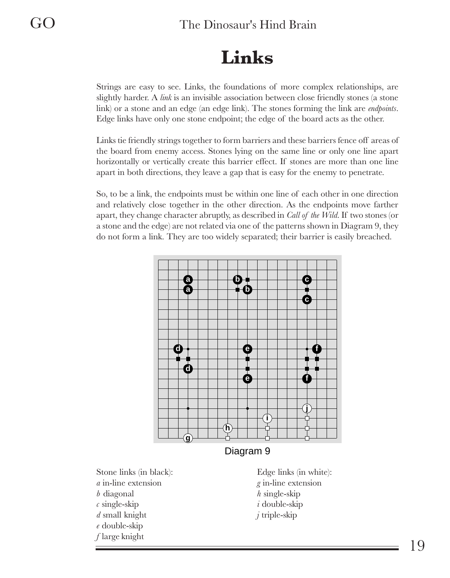#### GO The Dinosaur's Hind Brain

### Links

Strings are easy to see. Links, the foundations of more complex relationships, are slightly harder. A *link* is an invisible association between close friendly stones (a stone link) or a stone and an edge (an edge link). The stones forming the link are *endpoints*. Edge links have only one stone endpoint; the edge of the board acts as the other.

Links tie friendly strings together to form barriers and these barriers fence off areas of the board from enemy access. Stones lying on the same line or only one line apart horizontally or vertically create this barrier effect. If stones are more than one line apart in both directions, they leave a gap that is easy for the enemy to penetrate.

So, to be a link, the endpoints must be within one line of each other in one direction and relatively close together in the other direction. As the endpoints move farther apart, they change character abruptly, as described in Call of the Wild. If two stones (or a stone and the edge) are not related via one of the patterns shown in Diagram 9, they do not form a link. They are too widely separated; their barrier is easily breached.



Stone links (in black): Edge links (in white):  $\alpha$  in-line extension g in-line extension b diagonal h single-skip  $c$  single-skip  $i$  double-skip  $d$  small knight  $j$  triple-skip e double-skip f large knight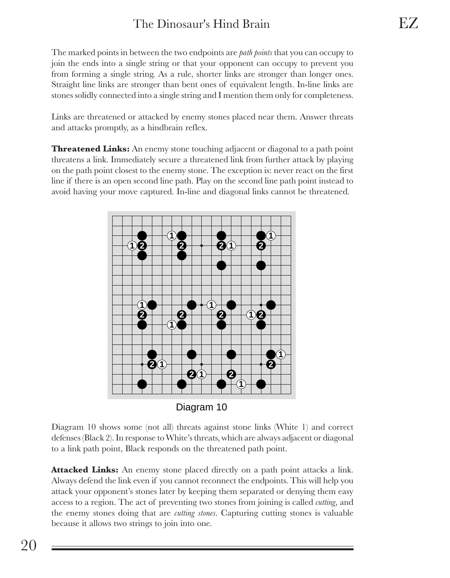The marked points in between the two endpoints are *path points* that you can occupy to join the ends into a single string or that your opponent can occupy to prevent you from forming a single string. As a rule, shorter links are stronger than longer ones. Straight line links are stronger than bent ones of equivalent length. In-line links are stones solidly connected into a single string and I mention them only for completeness.

Links are threatened or attacked by enemy stones placed near them. Answer threats and attacks promptly, as a hindbrain reflex.

**Threatened Links:** An enemy stone touching adjacent or diagonal to a path point threatens a link. Immediately secure a threatened link from further attack by playing on the path point closest to the enemy stone. The exception is: never react on the first line if there is an open second line path. Play on the second line path point instead to avoid having your move captured. In-line and diagonal links cannot be threatened.



Diagram 10 shows some (not all) threats against stone links (White 1) and correct defenses (Black 2). In response to White's threats, which are always adjacent or diagonal to a link path point, Black responds on the threatened path point.

**Attacked Links:** An enemy stone placed directly on a path point attacks a link. Always defend the link even if you cannot reconnect the endpoints. This will help you attack your opponent's stones later by keeping them separated or denying them easy access to a region. The act of preventing two stones from joining is called *cutting*, and the enemy stones doing that are cutting stones. Capturing cutting stones is valuable because it allows two strings to join into one.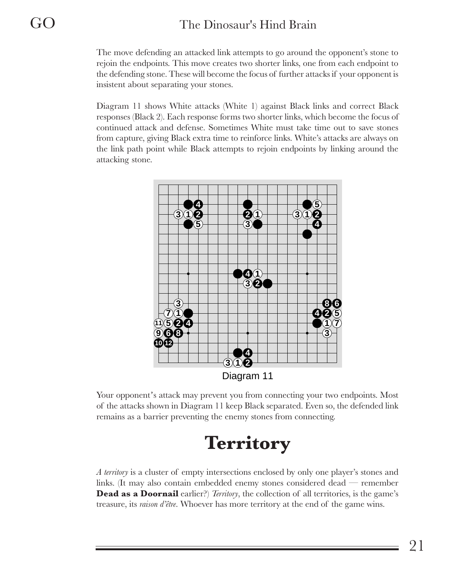The move defending an attacked link attempts to go around the opponent's stone to rejoin the endpoints. This move creates two shorter links, one from each endpoint to the defending stone. These will become the focus of further attacks if your opponent is insistent about separating your stones.

Diagram 11 shows White attacks (White 1) against Black links and correct Black responses (Black 2). Each response forms two shorter links, which become the focus of continued attack and defense. Sometimes White must take time out to save stones from capture, giving Black extra time to reinforce links. White's attacks are always on the link path point while Black attempts to rejoin endpoints by linking around the attacking stone.



Your opponent's attack may prevent you from connecting your two endpoints. Most of the attacks shown in Diagram 11 keep Black separated. Even so, the defended link remains as a barrier preventing the enemy stones from connecting.

### **Territory**

A territory is a cluster of empty intersections enclosed by only one player's stones and links. (It may also contain embedded enemy stones considered dead — remember **Dead as a Doornail** earlier?) Territory, the collection of all territories, is the game's treasure, its raison d'être. Whoever has more territory at the end of the game wins.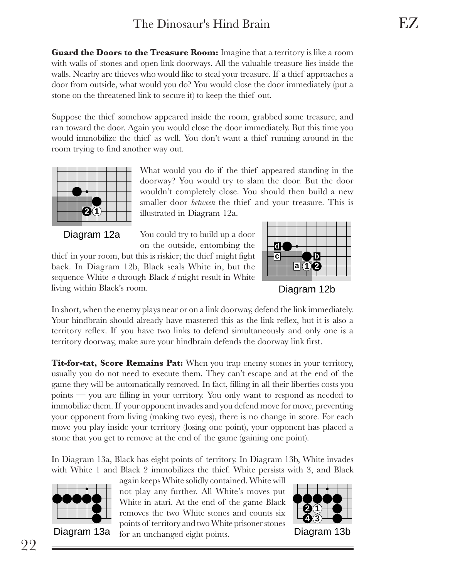#### The Dinosaur's Hind Brain EZ

**Guard the Doors to the Treasure Room:** Imagine that a territory is like a room with walls of stones and open link doorways. All the valuable treasure lies inside the walls. Nearby are thieves who would like to steal your treasure. If a thief approaches a door from outside, what would you do? You would close the door immediately (put a stone on the threatened link to secure it) to keep the thief out.

Suppose the thief somehow appeared inside the room, grabbed some treasure, and ran toward the door. Again you would close the door immediately. But this time you would immobilize the thief as well. You don't want a thief running around in the room trying to find another way out.



Diagram 12a

What would you do if the thief appeared standing in the doorway? You would try to slam the door. But the door wouldn't completely close. You should then build a new smaller door *between* the thief and your treasure. This is illustrated in Diagram 12a.

You could try to build up a door on the outside, entombing the

thief in your room, but this is riskier; the thief might fight back. In Diagram 12b, Black seals White in, but the sequence White *a* through Black *d* might result in White living within Black's room.



Diagram 12b

In short, when the enemy plays near or on a link doorway, defend the link immediately. Your hindbrain should already have mastered this as the link reflex, but it is also a territory reflex. If you have two links to defend simultaneously and only one is a territory doorway, make sure your hindbrain defends the doorway link first.

**Tit-for-tat, Score Remains Pat:** When you trap enemy stones in your territory, usually you do not need to execute them. They can't escape and at the end of the game they will be automatically removed. In fact, filling in all their liberties costs you points — you are filling in your territory. You only want to respond as needed to immobilize them. If your opponent invades and you defend move for move, preventing your opponent from living (making two eyes), there is no change in score. For each move you play inside your territory (losing one point), your opponent has placed a stone that you get to remove at the end of the game (gaining one point).

In Diagram 13a, Black has eight points of territory. In Diagram 13b, White invades with White 1 and Black 2 immobilizes the thief. White persists with 3, and Black



again keeps White solidly contained. White will not play any further. All White's moves put White in atari. At the end of the game Black removes the two White stones and counts six points of territory and two White prisoner stones Diagram 13a for an unchanged eight points. Diagram 13b

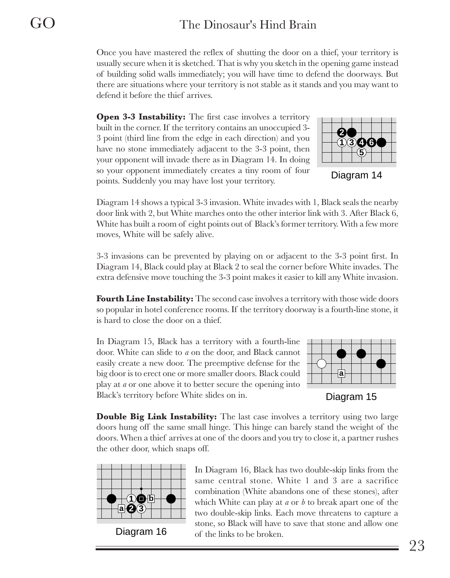Once you have mastered the reflex of shutting the door on a thief, your territory is usually secure when it is sketched. That is why you sketch in the opening game instead of building solid walls immediately; you will have time to defend the doorways. But there are situations where your territory is not stable as it stands and you may want to defend it before the thief arrives.

**Open 3-3 Instability:** The first case involves a territory built in the corner. If the territory contains an unoccupied 3- 3 point (third line from the edge in each direction) and you have no stone immediately adjacent to the 3-3 point, then your opponent will invade there as in Diagram 14. In doing so your opponent immediately creates a tiny room of four points. Suddenly you may have lost your territory.



Diagram 14

Diagram 14 shows a typical 3-3 invasion. White invades with 1, Black seals the nearby door link with 2, but White marches onto the other interior link with 3. After Black 6, White has built a room of eight points out of Black's former territory. With a few more moves, White will be safely alive.

3-3 invasions can be prevented by playing on or adjacent to the 3-3 point first. In Diagram 14, Black could play at Black 2 to seal the corner before White invades. The extra defensive move touching the 3-3 point makes it easier to kill any White invasion.

**Fourth Line Instability:** The second case involves a territory with those wide doors so popular in hotel conference rooms. If the territory doorway is a fourth-line stone, it is hard to close the door on a thief.

In Diagram 15, Black has a territory with a fourth-line door. White can slide to a on the door, and Black cannot easily create a new door. The preemptive defense for the big door is to erect one or more smaller doors. Black could play at a or one above it to better secure the opening into Black's territory before White slides on in.





**Double Big Link Instability:** The last case involves a territory using two large doors hung off the same small hinge. This hinge can barely stand the weight of the doors. When a thief arrives at one of the doors and you try to close it, a partner rushes the other door, which snaps off.



Diagram 16

In Diagram 16, Black has two double-skip links from the same central stone. White 1 and 3 are a sacrifice combination (White abandons one of these stones), after which White can play at  $a$  or  $b$  to break apart one of the two double-skip links. Each move threatens to capture a stone, so Black will have to save that stone and allow one of the links to be broken.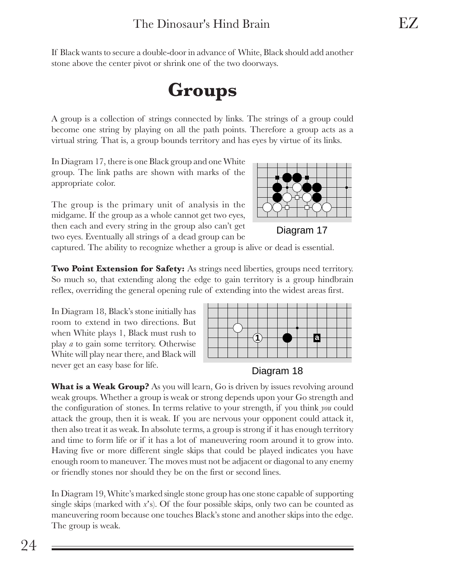If Black wants to secure a double-door in advance of White, Black should add another stone above the center pivot or shrink one of the two doorways.

**Groups** 

A group is a collection of strings connected by links. The strings of a group could become one string by playing on all the path points. Therefore a group acts as a virtual string. That is, a group bounds territory and has eyes by virtue of its links.

In Diagram 17, there is one Black group and one White group. The link paths are shown with marks of the appropriate color.

The group is the primary unit of analysis in the midgame. If the group as a whole cannot get two eyes, then each and every string in the group also can't get two eyes. Eventually all strings of a dead group can be



Diagram 17

captured. The ability to recognize whether a group is alive or dead is essential.

**Two Point Extension for Safety:** As strings need liberties, groups need territory. So much so, that extending along the edge to gain territory is a group hindbrain reflex, overriding the general opening rule of extending into the widest areas first.

In Diagram 18, Black's stone initially has room to extend in two directions. But when White plays 1, Black must rush to play a to gain some territory. Otherwise White will play near there, and Black will never get an easy base for life.





**What is a Weak Group?** As you will learn, Go is driven by issues revolving around weak groups. Whether a group is weak or strong depends upon your Go strength and the configuration of stones. In terms relative to your strength, if you think you could attack the group, then it is weak. If you are nervous your opponent could attack it, then also treat it as weak. In absolute terms, a group is strong if it has enough territory and time to form life or if it has a lot of maneuvering room around it to grow into. Having five or more different single skips that could be played indicates you have enough room to maneuver. The moves must not be adjacent or diagonal to any enemy or friendly stones nor should they be on the first or second lines.

In Diagram 19, White's marked single stone group has one stone capable of supporting single skips (marked with  $x$ 's). Of the four possible skips, only two can be counted as maneuvering room because one touches Black's stone and another skips into the edge. The group is weak.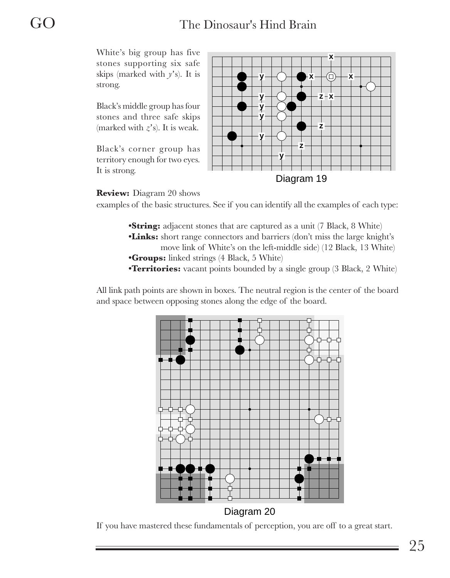White's big group has five stones supporting six safe skips (marked with  $y$ 's). It is strong.

Black's middle group has four stones and three safe skips (marked with  $z$ 's). It is weak.

Black's corner group has territory enough for two eyes. It is strong.



#### **Review:** Diagram 20 shows

examples of the basic structures. See if you can identify all the examples of each type:

- •String: adjacent stones that are captured as a unit (7 Black, 8 White) •Links: short range connectors and barriers (don't miss the large knight's move link of White's on the left-middle side) (12 Black, 13 White) •Groups: linked strings (4 Black, 5 White)
- **•Territories:** vacant points bounded by a single group (3 Black, 2 White)

All link path points are shown in boxes. The neutral region is the center of the board and space between opposing stones along the edge of the board.



If you have mastered these fundamentals of perception, you are off to a great start.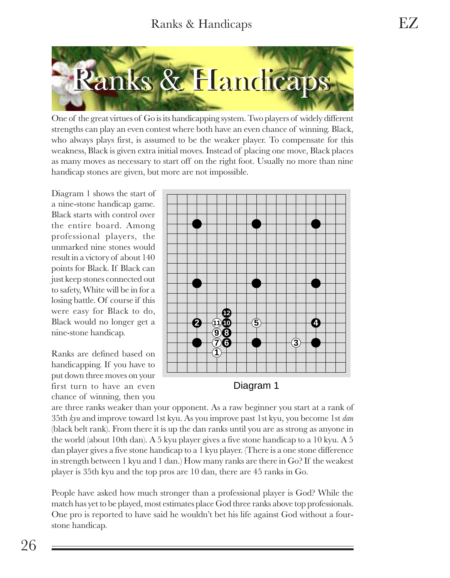#### Ranks & Handicaps EZ



One of the great virtues of Go is its handicapping system. Two players of widely different strengths can play an even contest where both have an even chance of winning. Black, who always plays first, is assumed to be the weaker player. To compensate for this weakness, Black is given extra initial moves. Instead of placing one move, Black places as many moves as necessary to start off on the right foot. Usually no more than nine handicap stones are given, but more are not impossible.

Diagram 1 shows the start of a nine-stone handicap game. Black starts with control over the entire board. Among professional players, the unmarked nine stones would result in a victory of about 140 points for Black. If Black can just keep stones connected out to safety, White will be in for a losing battle. Of course if this were easy for Black to do, Black would no longer get a nine-stone handicap.

Ranks are defined based on handicapping. If you have to put down three moves on your first turn to have an even chance of winning, then you



Diagram 1

are three ranks weaker than your opponent. As a raw beginner you start at a rank of 35th kyu and improve toward 1st kyu. As you improve past 1st kyu, you become 1st dan (black belt rank). From there it is up the dan ranks until you are as strong as anyone in the world (about 10th dan). A 5 kyu player gives a five stone handicap to a 10 kyu. A 5 dan player gives a five stone handicap to a 1 kyu player. (There is a one stone difference in strength between 1 kyu and 1 dan.) How many ranks are there in Go? If the weakest player is 35th kyu and the top pros are 10 dan, there are 45 ranks in Go.

People have asked how much stronger than a professional player is God? While the match has yet to be played, most estimates place God three ranks above top professionals. One pro is reported to have said he wouldn't bet his life against God without a fourstone handicap.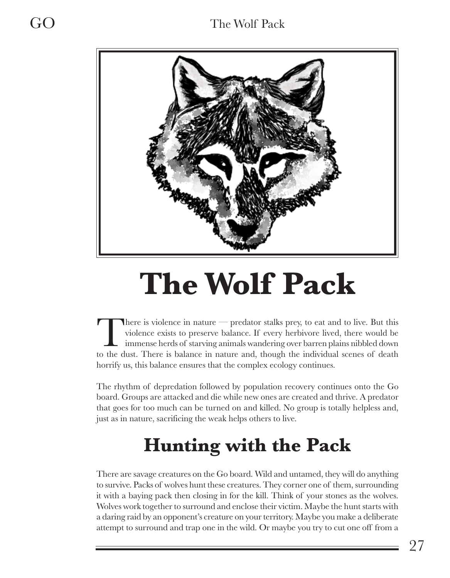

## The Wolf Pack

There is violence in nature — predator stalks prey, to eat and to live. But this violence exists to preserve balance. If every herbivore lived, there would be immense herds of starving animals wandering over barren plains violence exists to preserve balance. If every herbivore lived, there would be immense herds of starving animals wandering over barren plains nibbled down to the dust. There is balance in nature and, though the individual scenes of death horrify us, this balance ensures that the complex ecology continues.

The rhythm of depredation followed by population recovery continues onto the Go board. Groups are attacked and die while new ones are created and thrive. A predator that goes for too much can be turned on and killed. No group is totally helpless and, just as in nature, sacrificing the weak helps others to live.

## Hunting with the Pack

There are savage creatures on the Go board. Wild and untamed, they will do anything to survive. Packs of wolves hunt these creatures. They corner one of them, surrounding it with a baying pack then closing in for the kill. Think of your stones as the wolves. Wolves work together to surround and enclose their victim. Maybe the hunt starts with a daring raid by an opponent's creature on your territory. Maybe you make a deliberate attempt to surround and trap one in the wild. Or maybe you try to cut one off from a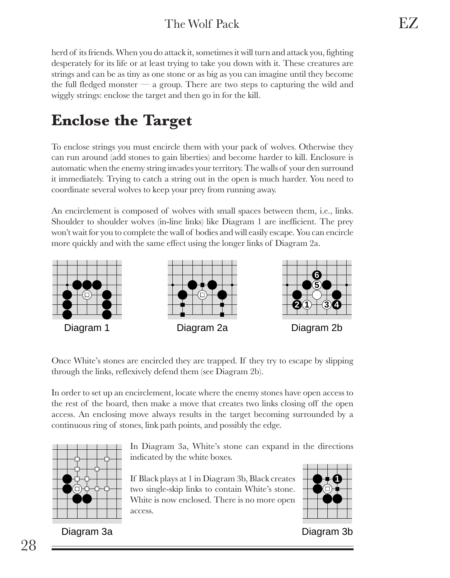#### The Wolf Pack FZ

herd of its friends. When you do attack it, sometimes it will turn and attack you, fighting desperately for its life or at least trying to take you down with it. These creatures are strings and can be as tiny as one stone or as big as you can imagine until they become the full fledged monster — a group. There are two steps to capturing the wild and wiggly strings: enclose the target and then go in for the kill.

### Enclose the Target

To enclose strings you must encircle them with your pack of wolves. Otherwise they can run around (add stones to gain liberties) and become harder to kill. Enclosure is automatic when the enemy string invades your territory. The walls of your den surround it immediately. Trying to catch a string out in the open is much harder. You need to coordinate several wolves to keep your prey from running away.

An encirclement is composed of wolves with small spaces between them, i.e., links. Shoulder to shoulder wolves (in-line links) like Diagram 1 are inefficient. The prey won't wait for you to complete the wall of bodies and will easily escape. You can encircle more quickly and with the same effect using the longer links of Diagram 2a.



Once White's stones are encircled they are trapped. If they try to escape by slipping through the links, reflexively defend them (see Diagram 2b).

In order to set up an encirclement, locate where the enemy stones have open access to the rest of the board, then make a move that creates two links closing off the open access. An enclosing move always results in the target becoming surrounded by a continuous ring of stones, link path points, and possibly the edge.



Diagram 3a

In Diagram 3a, White's stone can expand in the directions indicated by the white boxes.

If Black plays at 1 in Diagram 3b, Black creates two single-skip links to contain White's stone. White is now enclosed. There is no more open access.



Diagram 3b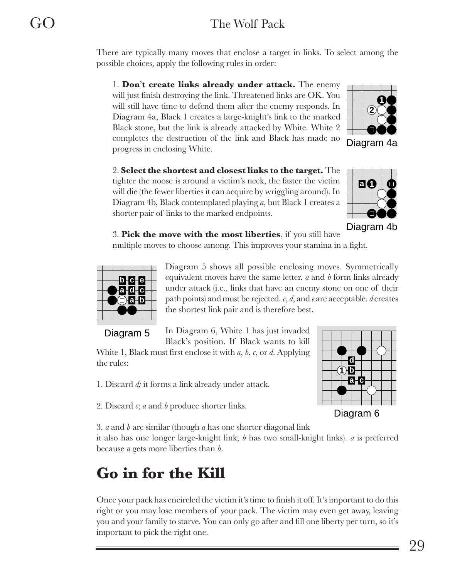#### $G()$  The Wolf Pack

There are typically many moves that enclose a target in links. To select among the possible choices, apply the following rules in order:

1. Don't create links already under attack. The enemy will just finish destroying the link. Threatened links are OK. You will still have time to defend them after the enemy responds. In Diagram 4a, Black 1 creates a large-knight's link to the marked Black stone, but the link is already attacked by White. White 2 completes the destruction of the link and Black has made no progress in enclosing White.

2. Select the shortest and closest links to the target. The tighter the noose is around a victim's neck, the faster the victim will die (the fewer liberties it can acquire by wriggling around). In Diagram 4b, Black contemplated playing a, but Black 1 creates a shorter pair of links to the marked endpoints.

Diagram 4b

3. Pick the move with the most liberties, if you still have multiple moves to choose among. This improves your stamina in a fight.

**b a c d a e c b**

Diagram 5 shows all possible enclosing moves. Symmetrically equivalent moves have the same letter.  $a$  and  $b$  form links already under attack (i.e., links that have an enemy stone on one of their path points) and must be rejected.  $c, d$ , and  $e$  are acceptable.  $d$  creates the shortest link pair and is therefore best.

Diagram 5

In Diagram 6, White 1 has just invaded Black's position. If Black wants to kill

White 1, Black must first enclose it with  $a, b, c$ , or  $d$ . Applying the rules:

1. Discard d; it forms a link already under attack.

2. Discard  $c$ ;  $a$  and  $b$  produce shorter links.

**a c b d 1** Diagram 6

3. a and b are similar (though a has one shorter diagonal link

it also has one longer large-knight link;  $b$  has two small-knight links).  $a$  is preferred because a gets more liberties than b.

### Go in for the Kill

Once your pack has encircled the victim it's time to finish it off. It's important to do this right or you may lose members of your pack. The victim may even get away, leaving you and your family to starve. You can only go after and fill one liberty per turn, so it's important to pick the right one.



Diagram 4a



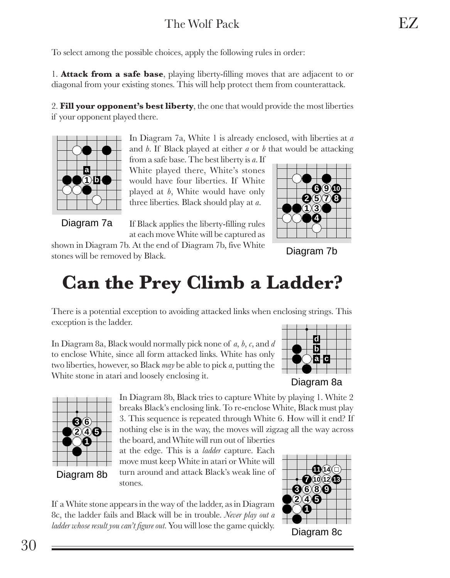#### The Wolf Pack FZ

To select among the possible choices, apply the following rules in order:

1. **Attack from a safe base**, playing liberty-filling moves that are adjacent to or diagonal from your existing stones. This will help protect them from counterattack.

2. Fill your opponent's best liberty, the one that would provide the most liberties if your opponent played there.



In Diagram 7a, White 1 is already enclosed, with liberties at a and  $b$ . If Black played at either  $a$  or  $b$  that would be attacking

from a safe base. The best liberty is a. If White played there, White's stones would have four liberties. If White played at  $b$ , White would have only three liberties. Black should play at a.

Diagram 7a

If Black applies the liberty-filling rules at each move White will be captured as

shown in Diagram 7b. At the end of Diagram 7b, five White stones will be removed by Black.



Diagram 7b

### Can the Prey Climb a Ladder?

There is a potential exception to avoiding attacked links when enclosing strings. This exception is the ladder.

In Diagram 8a, Black would normally pick none of  $a, b, c$ , and  $d$ to enclose White, since all form attacked links. White has only two liberties, however, so Black may be able to pick a, putting the White stone in atari and loosely enclosing it.



Diagram 8a



In Diagram 8b, Black tries to capture White by playing 1. White 2 breaks Black's enclosing link. To re-enclose White, Black must play 3. This sequence is repeated through White 6. How will it end? If nothing else is in the way, the moves will zigzag all the way across

the board, and White will run out of liberties at the edge. This is a *ladder* capture. Each move must keep White in atari or White will turn around and attack Black's weak line of stones.

If a White stone appears in the way of the ladder, as in Diagram 8c, the ladder fails and Black will be in trouble. Never play out a ladder whose result you can't figure out. You will lose the game quickly.



Diagram 8c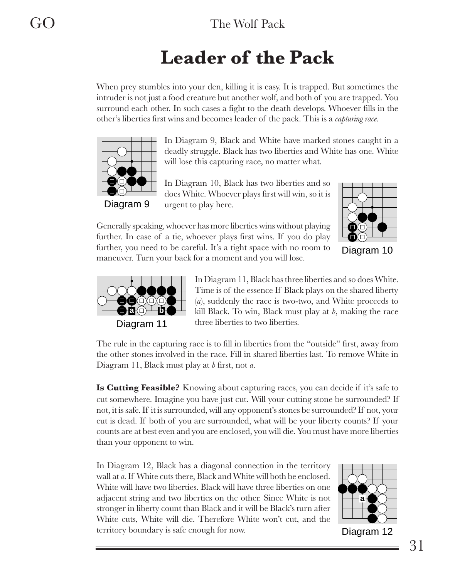### Leader of the Pack

When prey stumbles into your den, killing it is easy. It is trapped. But sometimes the intruder is not just a food creature but another wolf, and both of you are trapped. You surround each other. In such cases a fight to the death develops. Whoever fills in the other's liberties first wins and becomes leader of the pack. This is a capturing race.



In Diagram 9, Black and White have marked stones caught in a deadly struggle. Black has two liberties and White has one. White will lose this capturing race, no matter what.

In Diagram 10, Black has two liberties and so does White. Whoever plays first will win, so it is urgent to play here.

Generally speaking, whoever has more liberties wins without playing further. In case of a tie, whoever plays first wins. If you do play further, you need to be careful. It's a tight space with no room to maneuver. Turn your back for a moment and you will lose.



Diagram 10



In Diagram 11, Black has three liberties and so does White. Time is of the essence If Black plays on the shared liberty (a), suddenly the race is two-two, and White proceeds to kill Black. To win, Black must play at  $b$ , making the race three liberties to two liberties.

The rule in the capturing race is to fill in liberties from the "outside" first, away from the other stones involved in the race. Fill in shared liberties last. To remove White in Diagram 11, Black must play at *b* first, not *a*.

**Is Cutting Feasible?** Knowing about capturing races, you can decide if it's safe to cut somewhere. Imagine you have just cut. Will your cutting stone be surrounded? If not, it is safe. If it is surrounded, will any opponent's stones be surrounded? If not, your cut is dead. If both of you are surrounded, what will be your liberty counts? If your counts are at best even and you are enclosed, you will die. You must have more liberties than your opponent to win.

In Diagram 12, Black has a diagonal connection in the territory wall at a. If White cuts there, Black and White will both be enclosed. White will have two liberties. Black will have three liberties on one adjacent string and two liberties on the other. Since White is not stronger in liberty count than Black and it will be Black's turn after White cuts, White will die. Therefore White won't cut, and the territory boundary is safe enough for now.



Diagram 12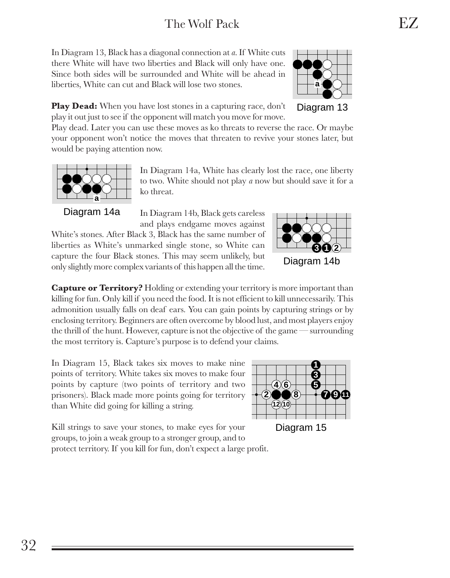#### The Wolf Pack FZ

In Diagram 13, Black has a diagonal connection at a. If White cuts there White will have two liberties and Black will only have one. Since both sides will be surrounded and White will be ahead in liberties, White can cut and Black will lose two stones.



Diagram 13

**Play Dead:** When you have lost stones in a capturing race, don't play it out just to see if the opponent will match you move for move.

Play dead. Later you can use these moves as ko threats to reverse the race. Or maybe your opponent won't notice the moves that threaten to revive your stones later, but would be paying attention now.



In Diagram 14a, White has clearly lost the race, one liberty to two. White should not play a now but should save it for a ko threat.

Diagram 14a

In Diagram 14b, Black gets careless and plays endgame moves against

White's stones. After Black 3, Black has the same number of liberties as White's unmarked single stone, so White can capture the four Black stones. This may seem unlikely, but only slightly more complex variants of this happen all the time.



Diagram 14b

**Capture or Territory?** Holding or extending your territory is more important than killing for fun. Only kill if you need the food. It is not efficient to kill unnecessarily. This admonition usually falls on deaf ears. You can gain points by capturing strings or by enclosing territory. Beginners are often overcome by blood lust, and most players enjoy the thrill of the hunt. However, capture is not the objective of the game — surrounding the most territory is. Capture's purpose is to defend your claims.

In Diagram 15, Black takes six moves to make nine points of territory. White takes six moves to make four points by capture (two points of territory and two prisoners). Black made more points going for territory than White did going for killing a string.



Kill strings to save your stones, to make eyes for your groups, to join a weak group to a stronger group, and to protect territory. If you kill for fun, don't expect a large profit.

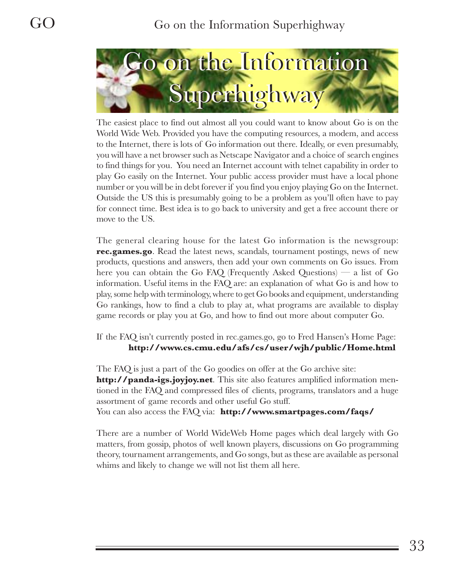

The easiest place to find out almost all you could want to know about Go is on the World Wide Web. Provided you have the computing resources, a modem, and access to the Internet, there is lots of Go information out there. Ideally, or even presumably, you will have a net browser such as Netscape Navigator and a choice of search engines to find things for you. You need an Internet account with telnet capability in order to play Go easily on the Internet. Your public access provider must have a local phone number or you will be in debt forever if you find you enjoy playing Go on the Internet. Outside the US this is presumably going to be a problem as you'll often have to pay for connect time. Best idea is to go back to university and get a free account there or move to the US.

The general clearing house for the latest Go information is the newsgroup: rec.games.go. Read the latest news, scandals, tournament postings, news of new products, questions and answers, then add your own comments on Go issues. From here you can obtain the Go FAQ (Frequently Asked Questions) — a list of Go information. Useful items in the FAQ are: an explanation of what Go is and how to play, some help with terminology, where to get Go books and equipment, understanding Go rankings, how to find a club to play at, what programs are available to display game records or play you at Go, and how to find out more about computer Go.

If the FAQ isn't currently posted in rec.games.go, go to Fred Hansen's Home Page: http://www.cs.cmu.edu/afs/cs/user/wjh/public/Home.html

The FAQ is just a part of the Go goodies on offer at the Go archive site: http://panda-igs.joyjoy.net. This site also features amplified information mentioned in the FAQ and compressed files of clients, programs, translators and a huge assortment of game records and other useful Go stuff. You can also access the FAQ via: http://www.smartpages.com/faqs/

There are a number of World WideWeb Home pages which deal largely with Go matters, from gossip, photos of well known players, discussions on Go programming theory, tournament arrangements, and Go songs, but as these are available as personal whims and likely to change we will not list them all here.